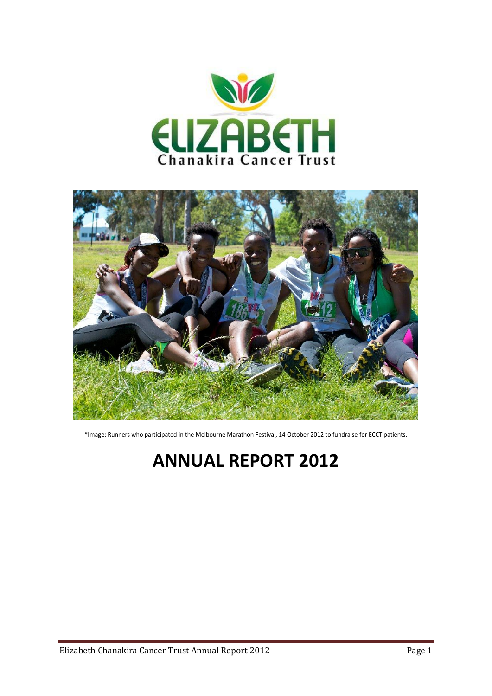



\*Image: Runners who participated in the Melbourne Marathon Festival, 14 October 2012 to fundraise for ECCT patients.

# **ANNUAL REPORT 2012**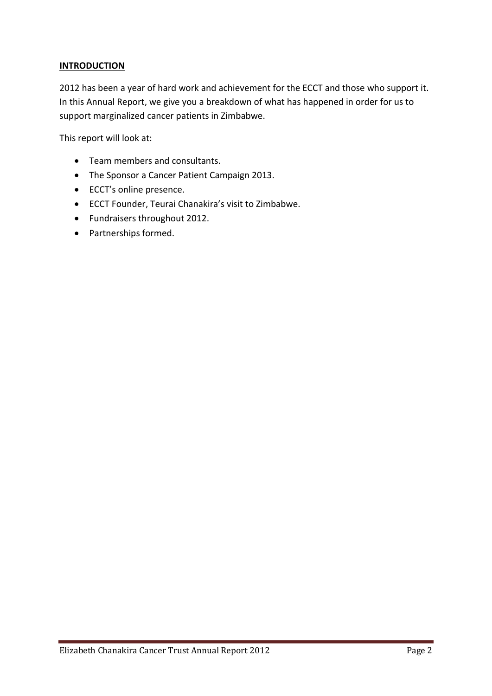# **INTRODUCTION**

2012 has been a year of hard work and achievement for the ECCT and those who support it. In this Annual Report, we give you a breakdown of what has happened in order for us to support marginalized cancer patients in Zimbabwe.

This report will look at:

- Team members and consultants.
- The Sponsor a Cancer Patient Campaign 2013.
- ECCT's online presence.
- ECCT Founder, Teurai Chanakira's visit to Zimbabwe.
- Fundraisers throughout 2012.
- Partnerships formed.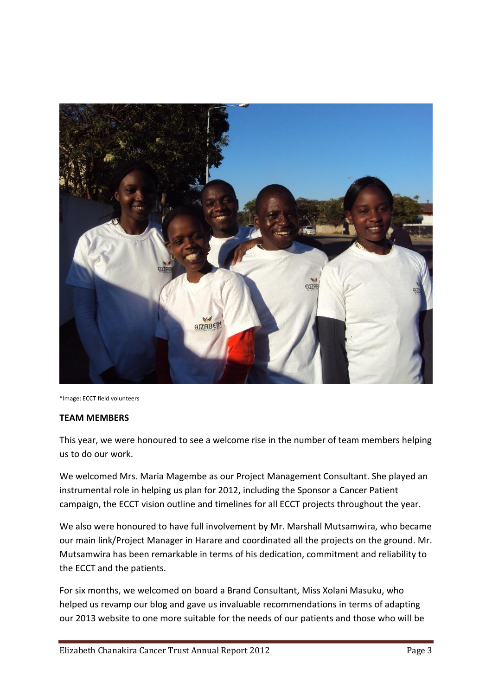

\*Image: ECCT field volunteers

#### **TEAM MEMBERS**

This year, we were honoured to see a welcome rise in the number of team members helping us to do our work.

We welcomed Mrs. Maria Magembe as our Project Management Consultant. She played an instrumental role in helping us plan for 2012, including the Sponsor a Cancer Patient campaign, the ECCT vision outline and timelines for all ECCT projects throughout the year.

We also were honoured to have full involvement by Mr. Marshall Mutsamwira, who became our main link/Project Manager in Harare and coordinated all the projects on the ground. Mr. Mutsamwira has been remarkable in terms of his dedication, commitment and reliability to the ECCT and the patients.

For six months, we welcomed on board a Brand Consultant, Miss Xolani Masuku, who helped us revamp our blog and gave us invaluable recommendations in terms of adapting our 2013 website to one more suitable for the needs of our patients and those who will be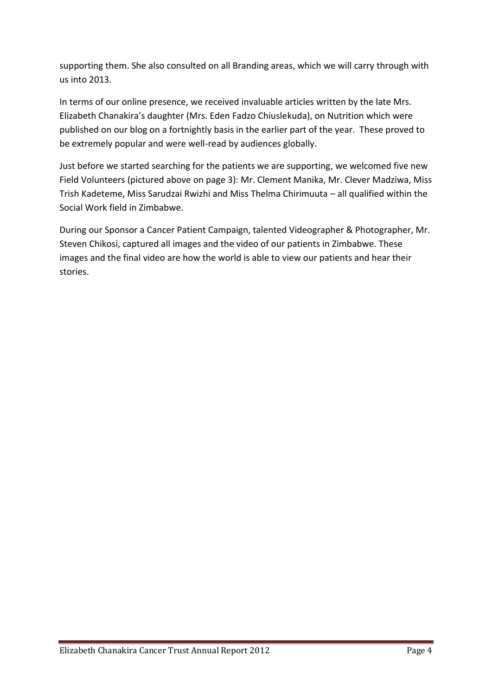supporting them. She also consulted on all Branding areas, which we will carry through with us into 2013.

In terms of our online presence, we received invaluable articles written by the late Mrs. Elizabeth Chanakira's daughter (Mrs. Eden Fadzo Chiuslekuda), on Nutrition which were published on our blog on a fortnightly basis in the earlier part of the year. These proved to be extremely popular and were well-read by audiences globally.

Just before we started searching for the patients we are supporting, we welcomed five new Field Volunteers (pictured above on page 3): Mr. Clement Manika, Mr. Clever Madziwa, Miss Trish Kadeteme, Miss Sarudzai Rwizhi and Miss Thelma Chirimuuta – all qualified within the Social Work field in Zimbabwe.

During our Sponsor a Cancer Patient Campaign, talented Videographer & Photographer, Mr. Steven Chikosi, captured all images and the video of our patients in Zimbabwe. These images and the final video are how the world is able to view our patients and hear their stories.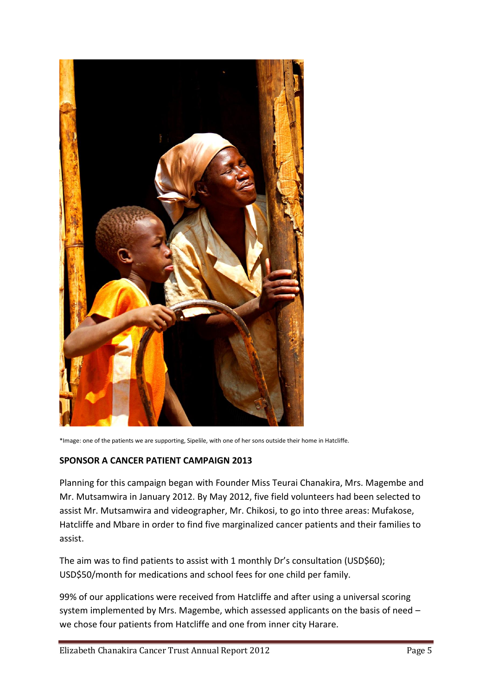

\*Image: one of the patients we are supporting, Sipelile, with one of her sons outside their home in Hatcliffe.

#### **SPONSOR A CANCER PATIENT CAMPAIGN 2013**

Planning for this campaign began with Founder Miss Teurai Chanakira, Mrs. Magembe and Mr. Mutsamwira in January 2012. By May 2012, five field volunteers had been selected to assist Mr. Mutsamwira and videographer, Mr. Chikosi, to go into three areas: Mufakose, Hatcliffe and Mbare in order to find five marginalized cancer patients and their families to assist.

The aim was to find patients to assist with 1 monthly Dr's consultation (USD\$60); USD\$50/month for medications and school fees for one child per family.

99% of our applications were received from Hatcliffe and after using a universal scoring system implemented by Mrs. Magembe, which assessed applicants on the basis of need – we chose four patients from Hatcliffe and one from inner city Harare.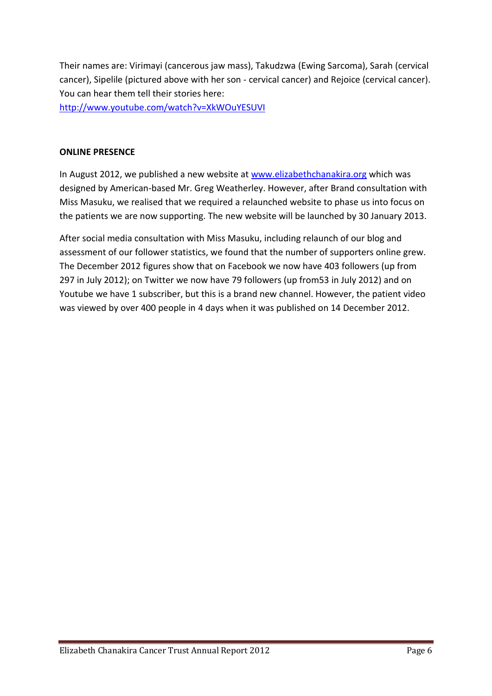Their names are: Virimayi (cancerous jaw mass), Takudzwa (Ewing Sarcoma), Sarah (cervical cancer), Sipelile (pictured above with her son - cervical cancer) and Rejoice (cervical cancer). You can hear them tell their stories here:

<http://www.youtube.com/watch?v=XkWOuYESUVI>

# **ONLINE PRESENCE**

In August 2012, we published a new website at [www.elizabethchanakira.org](http://www.elizabethchanakira.org/) which was designed by American-based Mr. Greg Weatherley. However, after Brand consultation with Miss Masuku, we realised that we required a relaunched website to phase us into focus on the patients we are now supporting. The new website will be launched by 30 January 2013.

After social media consultation with Miss Masuku, including relaunch of our blog and assessment of our follower statistics, we found that the number of supporters online grew. The December 2012 figures show that on Facebook we now have 403 followers (up from 297 in July 2012); on Twitter we now have 79 followers (up from53 in July 2012) and on Youtube we have 1 subscriber, but this is a brand new channel. However, the patient video was viewed by over 400 people in 4 days when it was published on 14 December 2012.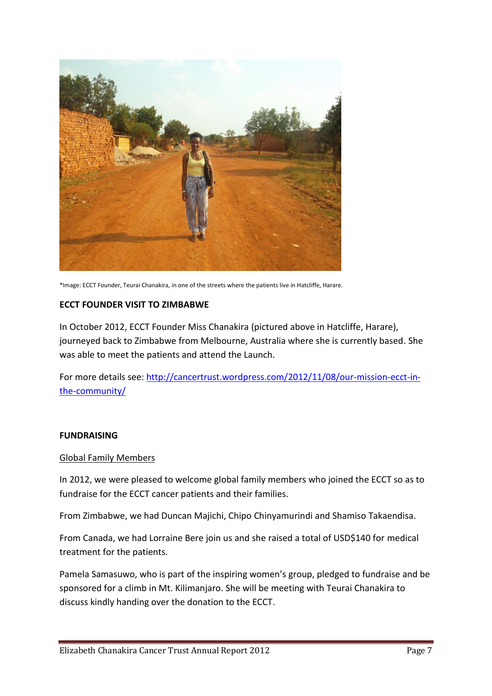

\*Image: ECCT Founder, Teurai Chanakira, in one of the streets where the patients live in Hatcliffe, Harare.

#### **ECCT FOUNDER VISIT TO ZIMBABWE**

In October 2012, ECCT Founder Miss Chanakira (pictured above in Hatcliffe, Harare), journeyed back to Zimbabwe from Melbourne, Australia where she is currently based. She was able to meet the patients and attend the Launch.

For more details see: [http://cancertrust.wordpress.com/2012/11/08/our-mission-ecct-in](http://cancertrust.wordpress.com/2012/11/08/our-mission-ecct-in-the-community/)[the-community/](http://cancertrust.wordpress.com/2012/11/08/our-mission-ecct-in-the-community/)

#### **FUNDRAISING**

#### Global Family Members

In 2012, we were pleased to welcome global family members who joined the ECCT so as to fundraise for the ECCT cancer patients and their families.

From Zimbabwe, we had Duncan Majichi, Chipo Chinyamurindi and Shamiso Takaendisa.

From Canada, we had Lorraine Bere join us and she raised a total of USD\$140 for medical treatment for the patients.

Pamela Samasuwo, who is part of the inspiring women's group, pledged to fundraise and be sponsored for a climb in Mt. Kilimanjaro. She will be meeting with Teurai Chanakira to discuss kindly handing over the donation to the ECCT.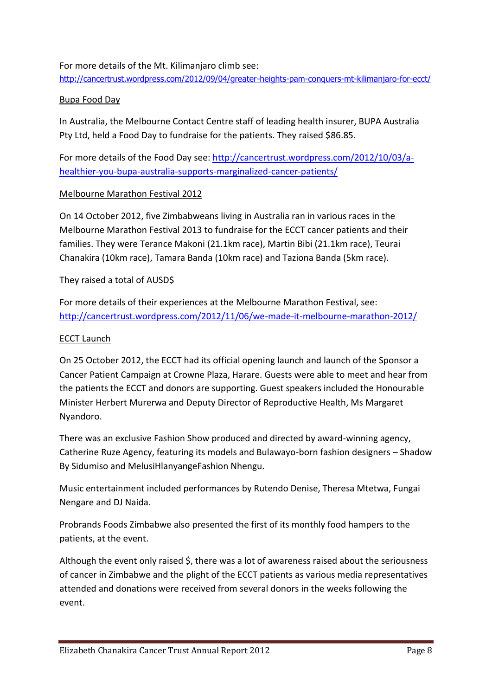# For more details of the Mt. Kilimanjaro climb see:

<http://cancertrust.wordpress.com/2012/09/04/greater-heights-pam-conquers-mt-kilimanjaro-for-ecct/>

## Bupa Food Day

In Australia, the Melbourne Contact Centre staff of leading health insurer, BUPA Australia Pty Ltd, held a Food Day to fundraise for the patients. They raised \$86.85.

For more details of the Food Day see: [http://cancertrust.wordpress.com/2012/10/03/a](http://cancertrust.wordpress.com/2012/10/03/a-healthier-you-bupa-australia-supports-marginalized-cancer-patients/)[healthier-you-bupa-australia-supports-marginalized-cancer-patients/](http://cancertrust.wordpress.com/2012/10/03/a-healthier-you-bupa-australia-supports-marginalized-cancer-patients/)

### Melbourne Marathon Festival 2012

On 14 October 2012, five Zimbabweans living in Australia ran in various races in the Melbourne Marathon Festival 2013 to fundraise for the ECCT cancer patients and their families. They were Terance Makoni (21.1km race), Martin Bibi (21.1km race), Teurai Chanakira (10km race), Tamara Banda (10km race) and Taziona Banda (5km race).

# They raised a total of AUSD\$

For more details of their experiences at the Melbourne Marathon Festival, see: <http://cancertrust.wordpress.com/2012/11/06/we-made-it-melbourne-marathon-2012/>

### ECCT Launch

On 25 October 2012, the ECCT had its official opening launch and launch of the Sponsor a Cancer Patient Campaign at Crowne Plaza, Harare. Guests were able to meet and hear from the patients the ECCT and donors are supporting. Guest speakers included the Honourable Minister Herbert Murerwa and Deputy Director of Reproductive Health, Ms Margaret Nyandoro.

There was an exclusive Fashion Show produced and directed by award-winning agency, Catherine Ruze Agency, featuring its models and Bulawayo-born fashion designers – Shadow By Sidumiso and MelusiHlanyangeFashion Nhengu.

Music entertainment included performances by Rutendo Denise, Theresa Mtetwa, Fungai Nengare and DJ Naida.

Probrands Foods Zimbabwe also presented the first of its monthly food hampers to the patients, at the event.

Although the event only raised \$, there was a lot of awareness raised about the seriousness of cancer in Zimbabwe and the plight of the ECCT patients as various media representatives attended and donations were received from several donors in the weeks following the event.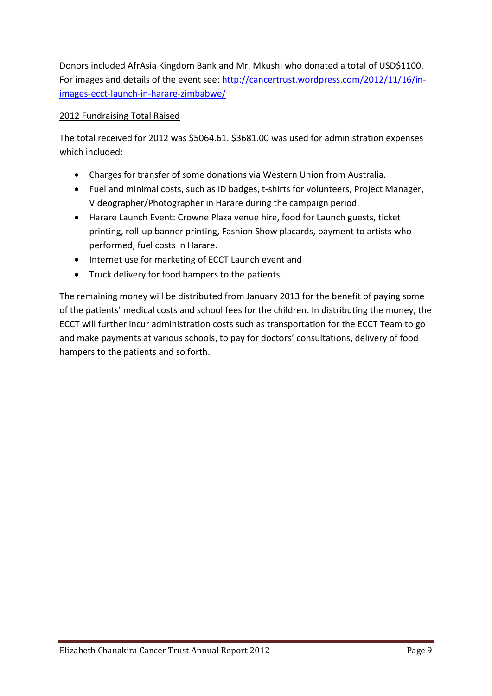Donors included AfrAsia Kingdom Bank and Mr. Mkushi who donated a total of USD\$1100. For images and details of the event see: [http://cancertrust.wordpress.com/2012/11/16/in](http://cancertrust.wordpress.com/2012/11/16/in-images-ecct-launch-in-harare-zimbabwe/)[images-ecct-launch-in-harare-zimbabwe/](http://cancertrust.wordpress.com/2012/11/16/in-images-ecct-launch-in-harare-zimbabwe/)

# 2012 Fundraising Total Raised

The total received for 2012 was \$5064.61. \$3681.00 was used for administration expenses which included:

- Charges for transfer of some donations via Western Union from Australia.
- Fuel and minimal costs, such as ID badges, t-shirts for volunteers, Project Manager, Videographer/Photographer in Harare during the campaign period.
- Harare Launch Event: Crowne Plaza venue hire, food for Launch guests, ticket printing, roll-up banner printing, Fashion Show placards, payment to artists who performed, fuel costs in Harare.
- Internet use for marketing of ECCT Launch event and
- Truck delivery for food hampers to the patients.

The remaining money will be distributed from January 2013 for the benefit of paying some of the patients' medical costs and school fees for the children. In distributing the money, the ECCT will further incur administration costs such as transportation for the ECCT Team to go and make payments at various schools, to pay for doctors' consultations, delivery of food hampers to the patients and so forth.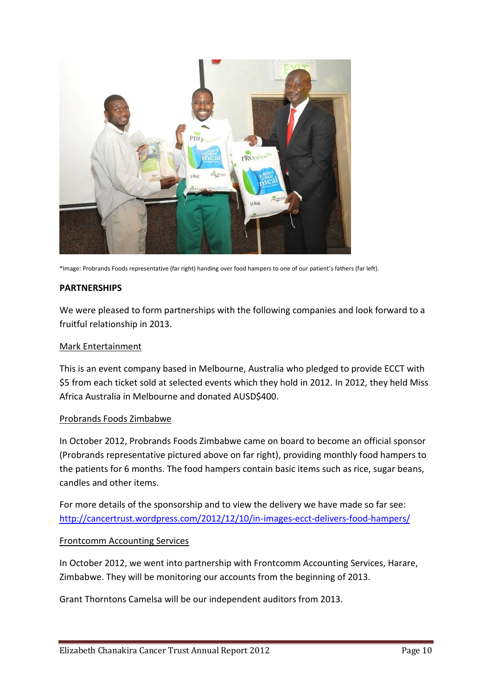

\*Image: Probrands Foods representative (far right) handing over food hampers to one of our patient's fathers (far left).

#### **PARTNERSHIPS**

We were pleased to form partnerships with the following companies and look forward to a fruitful relationship in 2013.

#### Mark Entertainment

This is an event company based in Melbourne, Australia who pledged to provide ECCT with \$5 from each ticket sold at selected events which they hold in 2012. In 2012, they held Miss Africa Australia in Melbourne and donated AUSD\$400.

#### Probrands Foods Zimbabwe

In October 2012, Probrands Foods Zimbabwe came on board to become an official sponsor (Probrands representative pictured above on far right), providing monthly food hampers to the patients for 6 months. The food hampers contain basic items such as rice, sugar beans, candles and other items.

For more details of the sponsorship and to view the delivery we have made so far see: <http://cancertrust.wordpress.com/2012/12/10/in-images-ecct-delivers-food-hampers/>

# Frontcomm Accounting Services

In October 2012, we went into partnership with Frontcomm Accounting Services, Harare, Zimbabwe. They will be monitoring our accounts from the beginning of 2013.

Grant Thorntons Camelsa will be our independent auditors from 2013.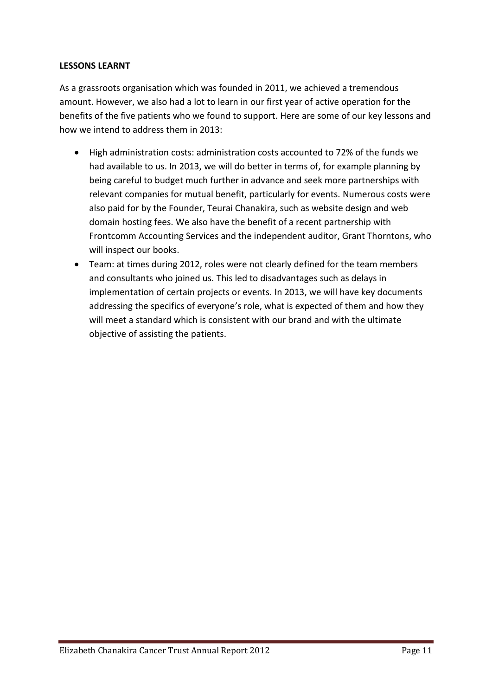### **LESSONS LEARNT**

As a grassroots organisation which was founded in 2011, we achieved a tremendous amount. However, we also had a lot to learn in our first year of active operation for the benefits of the five patients who we found to support. Here are some of our key lessons and how we intend to address them in 2013:

- High administration costs: administration costs accounted to 72% of the funds we had available to us. In 2013, we will do better in terms of, for example planning by being careful to budget much further in advance and seek more partnerships with relevant companies for mutual benefit, particularly for events. Numerous costs were also paid for by the Founder, Teurai Chanakira, such as website design and web domain hosting fees. We also have the benefit of a recent partnership with Frontcomm Accounting Services and the independent auditor, Grant Thorntons, who will inspect our books.
- Team: at times during 2012, roles were not clearly defined for the team members and consultants who joined us. This led to disadvantages such as delays in implementation of certain projects or events. In 2013, we will have key documents addressing the specifics of everyone's role, what is expected of them and how they will meet a standard which is consistent with our brand and with the ultimate objective of assisting the patients.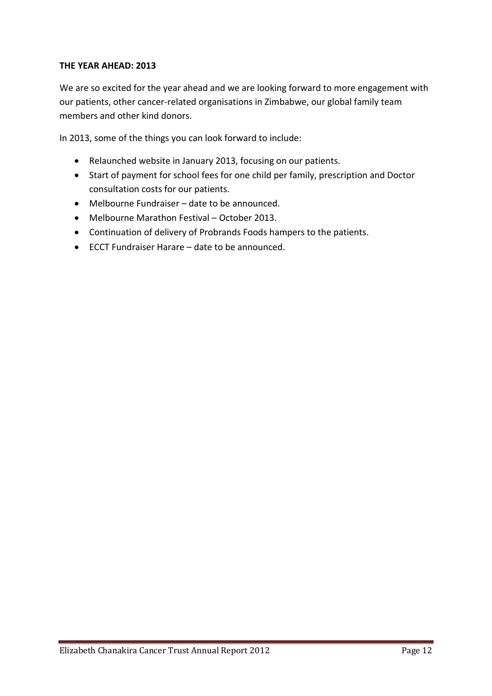# **THE YEAR AHEAD: 2013**

We are so excited for the year ahead and we are looking forward to more engagement with our patients, other cancer-related organisations in Zimbabwe, our global family team members and other kind donors.

In 2013, some of the things you can look forward to include:

- Relaunched website in January 2013, focusing on our patients.
- Start of payment for school fees for one child per family, prescription and Doctor consultation costs for our patients.
- Melbourne Fundraiser date to be announced.
- Melbourne Marathon Festival October 2013.
- Continuation of delivery of Probrands Foods hampers to the patients.
- ECCT Fundraiser Harare date to be announced.